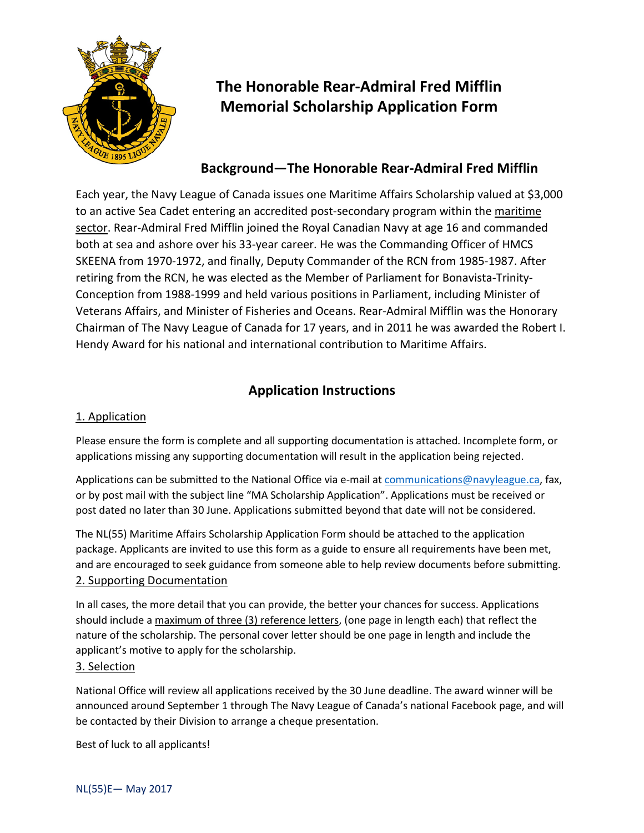

# **The Honorable Rear-Admiral Fred Mifflin Memorial Scholarship Application Form**

### **Background—The Honorable Rear-Admiral Fred Mifflin**

Each year, the Navy League of Canada issues one Maritime Affairs Scholarship valued at \$3,000 to an active Sea Cadet entering an accredited post-secondary program within the maritime sector. Rear-Admiral Fred Mifflin joined the Royal Canadian Navy at age 16 and commanded both at sea and ashore over his 33-year career. He was the Commanding Officer of HMCS SKEENA from 1970-1972, and finally, Deputy Commander of the RCN from 1985-1987. After retiring from the RCN, he was elected as the Member of Parliament for Bonavista-Trinity-Conception from 1988-1999 and held various positions in Parliament, including Minister of Veterans Affairs, and Minister of Fisheries and Oceans. Rear-Admiral Mifflin was the Honorary Chairman of The Navy League of Canada for 17 years, and in 2011 he was awarded the Robert I. Hendy Award for his national and international contribution to Maritime Affairs.

## **Application Instructions**

### 1. Application

Please ensure the form is complete and all supporting documentation is attached. Incomplete form, or applications missing any supporting documentation will result in the application being rejected.

Applications can be submitted to the National Office via e-mail at [communications@navyleague.ca,](mailto:communications@navyleague.ca) fax, or by post mail with the subject line "MA Scholarship Application". Applications must be received or post dated no later than 30 June. Applications submitted beyond that date will not be considered.

The NL(55) Maritime Affairs Scholarship Application Form should be attached to the application package. Applicants are invited to use this form as a guide to ensure all requirements have been met, and are encouraged to seek guidance from someone able to help review documents before submitting. 2. Supporting Documentation

In all cases, the more detail that you can provide, the better your chances for success. Applications should include a maximum of three (3) reference letters, (one page in length each) that reflect the nature of the scholarship. The personal cover letter should be one page in length and include the applicant's motive to apply for the scholarship.

#### 3. Selection

National Office will review all applications received by the 30 June deadline. The award winner will be announced around September 1 through The Navy League of Canada's national Facebook page, and will be contacted by their Division to arrange a cheque presentation.

Best of luck to all applicants!